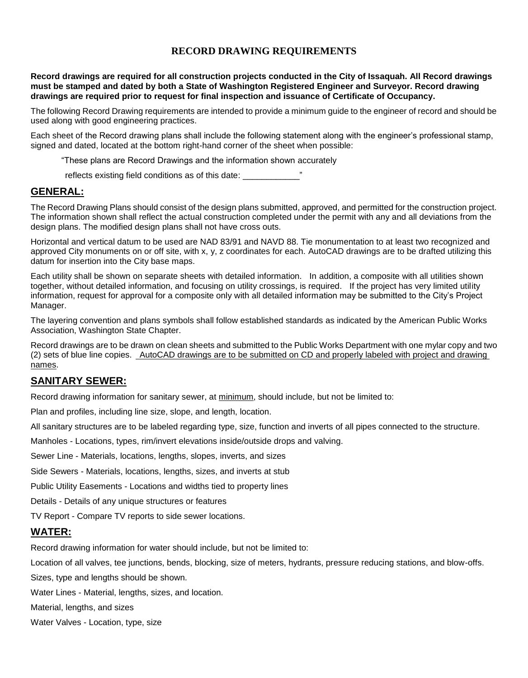## **RECORD DRAWING REQUIREMENTS**

**Record drawings are required for all construction projects conducted in the City of Issaquah. All Record drawings must be stamped and dated by both a State of Washington Registered Engineer and Surveyor. Record drawing drawings are required prior to request for final inspection and issuance of Certificate of Occupancy.**

The following Record Drawing requirements are intended to provide a minimum guide to the engineer of record and should be used along with good engineering practices.

Each sheet of the Record drawing plans shall include the following statement along with the engineer's professional stamp, signed and dated, located at the bottom right-hand corner of the sheet when possible:

"These plans are Record Drawings and the information shown accurately

reflects existing field conditions as of this date:

## **GENERAL:**

The Record Drawing Plans should consist of the design plans submitted, approved, and permitted for the construction project. The information shown shall reflect the actual construction completed under the permit with any and all deviations from the design plans. The modified design plans shall not have cross outs.

Horizontal and vertical datum to be used are NAD 83/91 and NAVD 88. Tie monumentation to at least two recognized and approved City monuments on or off site, with x, y, z coordinates for each. AutoCAD drawings are to be drafted utilizing this datum for insertion into the City base maps.

Each utility shall be shown on separate sheets with detailed information. In addition, a composite with all utilities shown together, without detailed information, and focusing on utility crossings, is required. If the project has very limited utility information, request for approval for a composite only with all detailed information may be submitted to the City's Project Manager.

The layering convention and plans symbols shall follow established standards as indicated by the American Public Works Association, Washington State Chapter.

Record drawings are to be drawn on clean sheets and submitted to the Public Works Department with one mylar copy and two (2) sets of blue line copies. AutoCAD drawings are to be submitted on CD and properly labeled with project and drawing names.

## **SANITARY SEWER:**

Record drawing information for sanitary sewer, at minimum, should include, but not be limited to:

Plan and profiles, including line size, slope, and length, location.

All sanitary structures are to be labeled regarding type, size, function and inverts of all pipes connected to the structure.

Manholes - Locations, types, rim/invert elevations inside/outside drops and valving.

Sewer Line - Materials, locations, lengths, slopes, inverts, and sizes

Side Sewers - Materials, locations, lengths, sizes, and inverts at stub

Public Utility Easements - Locations and widths tied to property lines

Details - Details of any unique structures or features

TV Report - Compare TV reports to side sewer locations.

## **WATER:**

Record drawing information for water should include, but not be limited to:

Location of all valves, tee junctions, bends, blocking, size of meters, hydrants, pressure reducing stations, and blow-offs.

Sizes, type and lengths should be shown.

Water Lines - Material, lengths, sizes, and location.

Material, lengths, and sizes

Water Valves - Location, type, size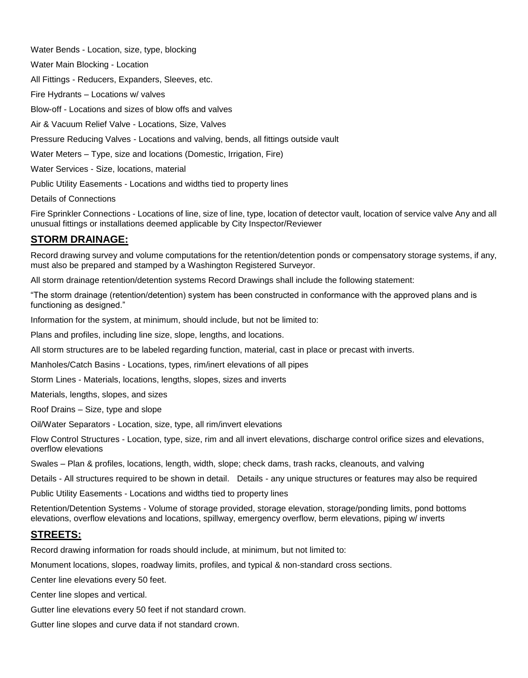Water Bends - Location, size, type, blocking

Water Main Blocking - Location

All Fittings - Reducers, Expanders, Sleeves, etc.

Fire Hydrants – Locations w/ valves

Blow-off - Locations and sizes of blow offs and valves

Air & Vacuum Relief Valve - Locations, Size, Valves

Pressure Reducing Valves - Locations and valving, bends, all fittings outside vault

Water Meters – Type, size and locations (Domestic, Irrigation, Fire)

Water Services - Size, locations, material

Public Utility Easements - Locations and widths tied to property lines

Details of Connections

Fire Sprinkler Connections - Locations of line, size of line, type, location of detector vault, location of service valve Any and all unusual fittings or installations deemed applicable by City Inspector/Reviewer

## **STORM DRAINAGE:**

Record drawing survey and volume computations for the retention/detention ponds or compensatory storage systems, if any, must also be prepared and stamped by a Washington Registered Surveyor.

All storm drainage retention/detention systems Record Drawings shall include the following statement:

"The storm drainage (retention/detention) system has been constructed in conformance with the approved plans and is functioning as designed."

Information for the system, at minimum, should include, but not be limited to:

Plans and profiles, including line size, slope, lengths, and locations.

All storm structures are to be labeled regarding function, material, cast in place or precast with inverts.

Manholes/Catch Basins - Locations, types, rim/inert elevations of all pipes

Storm Lines - Materials, locations, lengths, slopes, sizes and inverts

Materials, lengths, slopes, and sizes

Roof Drains – Size, type and slope

Oil/Water Separators - Location, size, type, all rim/invert elevations

Flow Control Structures - Location, type, size, rim and all invert elevations, discharge control orifice sizes and elevations, overflow elevations

Swales – Plan & profiles, locations, length, width, slope; check dams, trash racks, cleanouts, and valving

Details - All structures required to be shown in detail. Details - any unique structures or features may also be required

Public Utility Easements - Locations and widths tied to property lines

Retention/Detention Systems - Volume of storage provided, storage elevation, storage/ponding limits, pond bottoms elevations, overflow elevations and locations, spillway, emergency overflow, berm elevations, piping w/ inverts

## **STREETS:**

Record drawing information for roads should include, at minimum, but not limited to:

Monument locations, slopes, roadway limits, profiles, and typical & non-standard cross sections.

Center line elevations every 50 feet.

Center line slopes and vertical.

Gutter line elevations every 50 feet if not standard crown.

Gutter line slopes and curve data if not standard crown.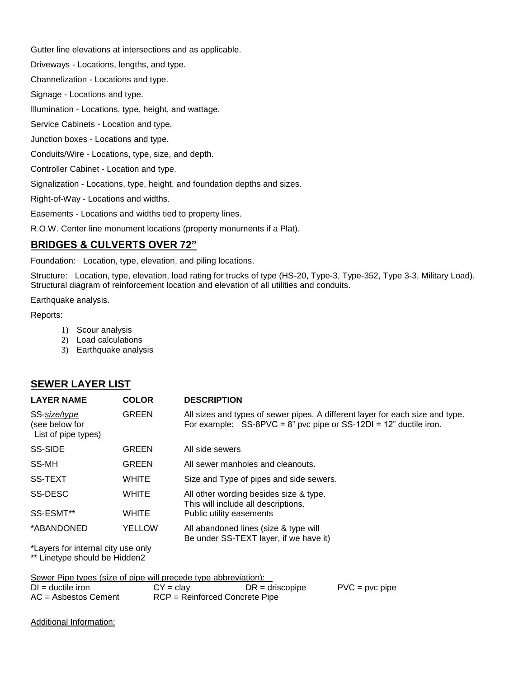Gutter line elevations at intersections and as applicable.

Driveways - Locations, lengths, and type.

Channelization - Locations and type.

Signage - Locations and type.

Illumination - Locations, type, height, and wattage.

Service Cabinets - Location and type.

Junction boxes - Locations and type.

Conduits/Wire - Locations, type, size, and depth.

Controller Cabinet - Location and type.

Signalization - Locations, type, height, and foundation depths and sizes.

Right-of-Way - Locations and widths.

Easements - Locations and widths tied to property lines.

R.O.W. Center line monument locations (property monuments if a Plat).

## **BRIDGES & CULVERTS OVER 72"**

Foundation: Location, type, elevation, and piling locations.

Structure: Location, type, elevation, load rating for trucks of type (HS-20, Type-3, Type-352, Type 3-3, Military Load). Structural diagram of reinforcement location and elevation of all utilities and conduits.

Earthquake analysis.

#### Reports:

- 1) Scour analysis
- 2) Load calculations
- 3) Earthquake analysis

# **SEWER LAYER LIST**

| <b>LAYER NAME</b>                                     | <b>COLOR</b>  | <b>DESCRIPTION</b>                                                                                                                                       |
|-------------------------------------------------------|---------------|----------------------------------------------------------------------------------------------------------------------------------------------------------|
| SS-size/type<br>(see below for<br>List of pipe types) | <b>GREEN</b>  | All sizes and types of sewer pipes. A different layer for each size and type.<br>For example: $SS-8PVC = 8$ " pvc pipe or $SS-12DI = 12$ " ductile iron. |
| <b>SS-SIDE</b>                                        | <b>GREEN</b>  | All side sewers                                                                                                                                          |
| SS-MH                                                 | <b>GREEN</b>  | All sewer manholes and cleanouts.                                                                                                                        |
| <b>SS-TEXT</b>                                        | <b>WHITE</b>  | Size and Type of pipes and side sewers.                                                                                                                  |
| SS-DESC                                               | <b>WHITE</b>  | All other wording besides size & type.<br>This will include all descriptions.                                                                            |
| SS-ESMT**                                             | <b>WHITE</b>  | Public utility easements                                                                                                                                 |
| *ABANDONED                                            | <b>YELLOW</b> | All abandoned lines (size & type will<br>Be under SS-TEXT layer, if we have it)                                                                          |
|                                                       |               |                                                                                                                                                          |

\*Layers for internal city use only \*\* Linetype should be Hidden2

Sewer Pipe types (size of pipe will precede type abbreviation):

| $DI = ductile$ iron    | $CY = \text{clay}$             | $DR =$ driscopipe | $PVC = pvc$ pipe |
|------------------------|--------------------------------|-------------------|------------------|
| $AC =$ Asbestos Cement | RCP = Reinforced Concrete Pipe |                   |                  |

Additional Information: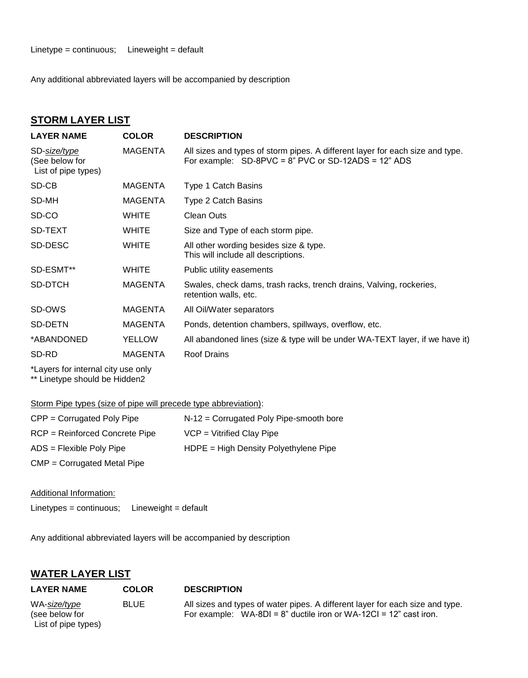Any additional abbreviated layers will be accompanied by description

#### **STORM LAYER LIST**

| <b>LAYER NAME</b>                                     | <b>COLOR</b>   | <b>DESCRIPTION</b>                                                                                                                         |
|-------------------------------------------------------|----------------|--------------------------------------------------------------------------------------------------------------------------------------------|
| SD-size/type<br>(See below for<br>List of pipe types) | <b>MAGENTA</b> | All sizes and types of storm pipes. A different layer for each size and type.<br>For example: $SD-8PVC = 8$ " PVC or $SD-12ADS = 12$ " ADS |
| SD-CB                                                 | MAGENTA        | Type 1 Catch Basins                                                                                                                        |
| SD-MH                                                 | <b>MAGENTA</b> | Type 2 Catch Basins                                                                                                                        |
| SD-CO                                                 | <b>WHITE</b>   | <b>Clean Outs</b>                                                                                                                          |
| SD-TEXT                                               | <b>WHITE</b>   | Size and Type of each storm pipe.                                                                                                          |
| SD-DESC                                               | <b>WHITE</b>   | All other wording besides size & type.<br>This will include all descriptions.                                                              |
| SD-ESMT**                                             | <b>WHITE</b>   | Public utility easements                                                                                                                   |
| SD-DTCH                                               | <b>MAGENTA</b> | Swales, check dams, trash racks, trench drains, Valving, rockeries,<br>retention walls, etc.                                               |
| SD-OWS                                                | <b>MAGENTA</b> | All Oil/Water separators                                                                                                                   |
| SD-DETN                                               | <b>MAGENTA</b> | Ponds, detention chambers, spillways, overflow, etc.                                                                                       |
| *ABANDONED                                            | <b>YELLOW</b>  | All abandoned lines (size & type will be under WA-TEXT layer, if we have it)                                                               |
| SD-RD                                                 | <b>MAGENTA</b> | <b>Roof Drains</b>                                                                                                                         |
|                                                       |                |                                                                                                                                            |

\*Layers for internal city use only \*\* Linetype should be Hidden2

### Storm Pipe types (size of pipe will precede type abbreviation):

| $CPP = Corrugated PolyPipe$      | N-12 = Corrugated Poly Pipe-smooth bore  |
|----------------------------------|------------------------------------------|
| $RCP = Reinforced$ Concrete Pipe | $VCP = Vitrified Clay Pipe$              |
| $ADS = Flexible PolyPipe$        | $H$ DPE = High Density Polyethylene Pipe |
| $CMP = Corrugated Metal Pipe$    |                                          |

Additional Information:

Linetypes = continuous; Lineweight = default

Any additional abbreviated layers will be accompanied by description

## **WATER LAYER LIST**

| <b>LAYER NAME</b>                                     | <b>COLOR</b> | <b>DESCRIPTION</b>                                                                                                                                     |
|-------------------------------------------------------|--------------|--------------------------------------------------------------------------------------------------------------------------------------------------------|
| WA-size/type<br>(see below for<br>List of pipe types) | <b>BLUE</b>  | All sizes and types of water pipes. A different layer for each size and type.<br>For example: $WA-BDI = 8"$ ductile iron or $WA-12CI = 12"$ cast iron. |